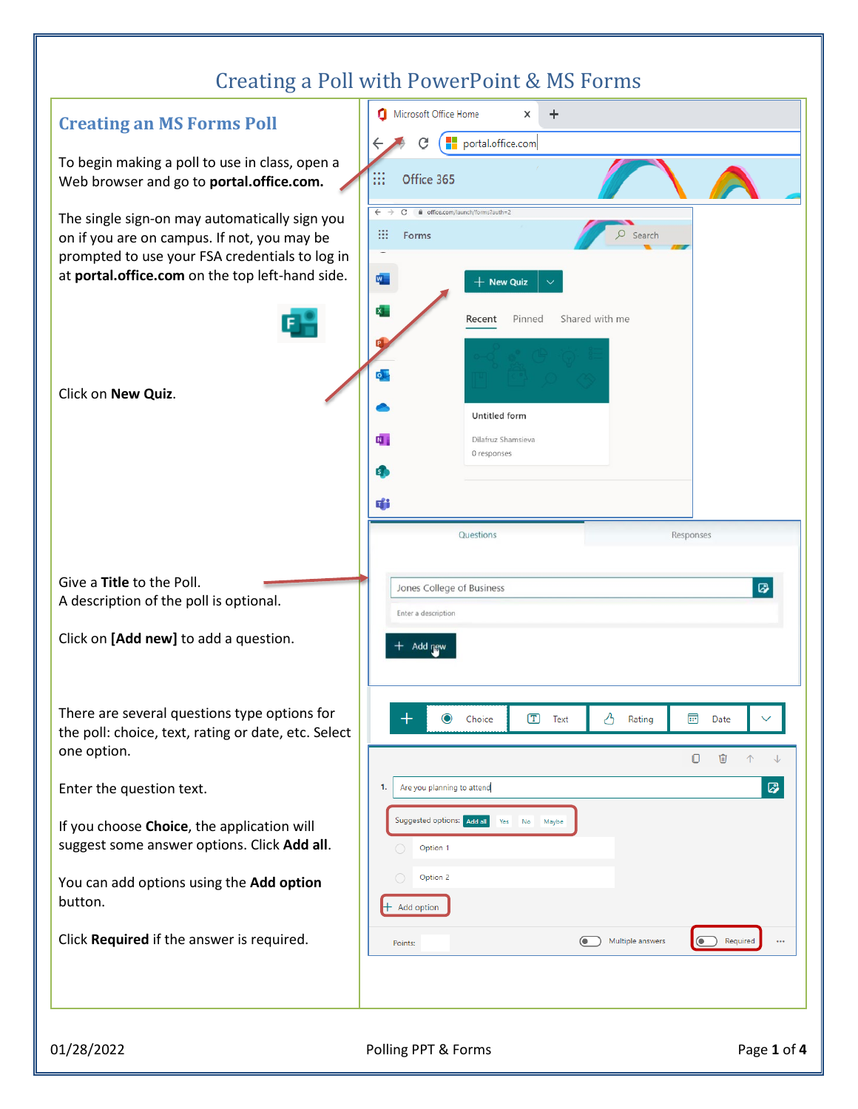## Creating a Poll with PowerPoint & MS Forms

| -- - -- - - - 0                                                                                                                                                                                   |                                                                                                                                                               |
|---------------------------------------------------------------------------------------------------------------------------------------------------------------------------------------------------|---------------------------------------------------------------------------------------------------------------------------------------------------------------|
| <b>Creating an MS Forms Poll</b>                                                                                                                                                                  | Microsoft Office Home<br>$\ddot{}$<br>×                                                                                                                       |
| To begin making a poll to use in class, open a<br>Web browser and go to portal.office.com.                                                                                                        | portal.office.com<br>C<br>m<br>Office 365                                                                                                                     |
| The single sign-on may automatically sign you<br>on if you are on campus. If not, you may be<br>prompted to use your FSA credentials to log in<br>at portal.office.com on the top left-hand side. | $\leftarrow$<br>C<br>fil office.com/launch/forms?auth=2<br>₩<br>Search<br>Forms<br>W <sub>a</sub><br>$+$ New Quiz<br>x.<br>Shared with me<br>Recent<br>Pinned |
| Click on New Quiz.                                                                                                                                                                                | o l<br>Untitled form<br>内<br>Dilafruz Shamsieva<br>0 responses<br>s.<br>41                                                                                    |
| Give a Title to the Poll.<br>A description of the poll is optional.<br>Click on [Add new] to add a question.                                                                                      | Questions<br>Responses<br>$\varpi$<br>Jones College of Business<br>Enter a description<br>$+$ Add new                                                         |
| There are several questions type options for<br>the poll: choice, text, rating or date, etc. Select<br>one option.                                                                                | $\bullet$<br>$\mathcal{S}$<br>$T$ Text<br>$\boxplus$<br>Rating<br>Date<br>Choice<br>O<br>⑩<br>个<br>↓                                                          |
| Enter the question text.                                                                                                                                                                          | 0<br>Are you planning to attend<br>1.                                                                                                                         |
| If you choose Choice, the application will<br>suggest some answer options. Click Add all.                                                                                                         | Suggested options: Add all<br>Yes No Maybe<br>Option 1                                                                                                        |
| You can add options using the Add option<br>button.                                                                                                                                               | Option 2<br>$\bigcirc$<br>$+$ Add option                                                                                                                      |
| Click Required if the answer is required.                                                                                                                                                         | $\bullet$<br>Multiple answers<br>(a) Required<br>$\cdots$<br>Points:                                                                                          |
|                                                                                                                                                                                                   |                                                                                                                                                               |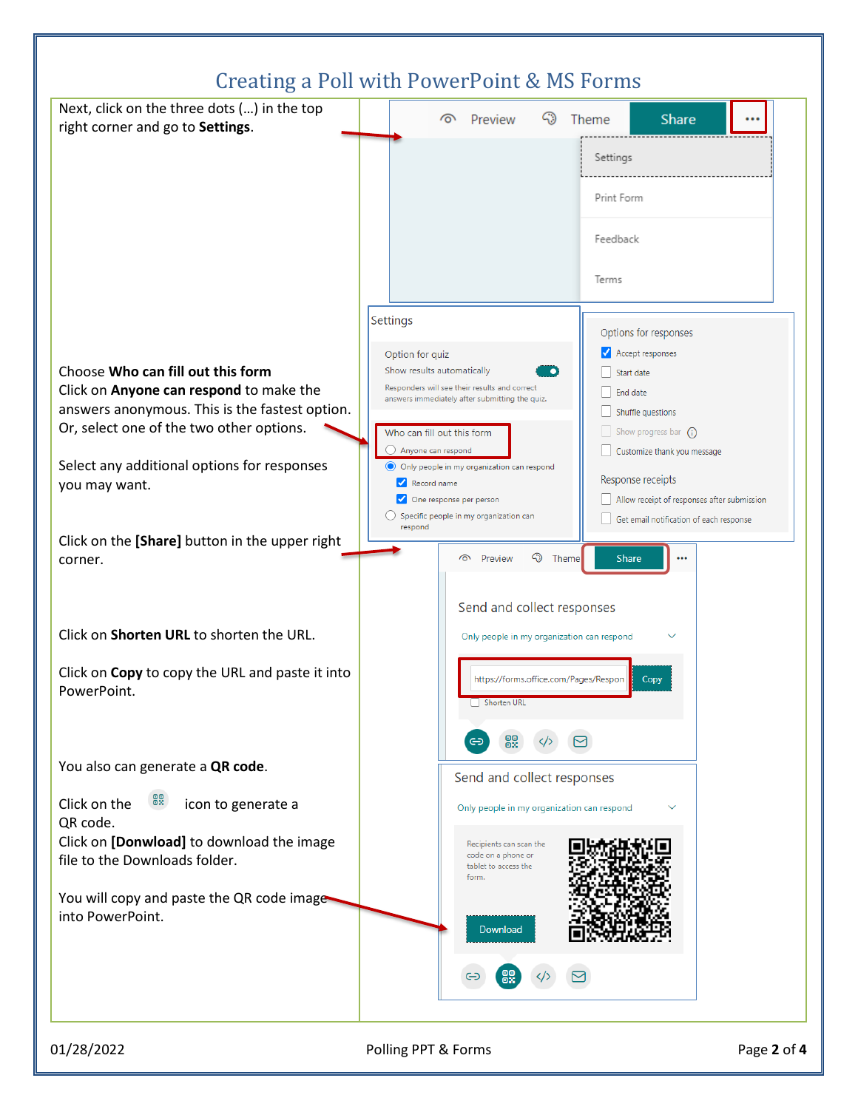

01/28/2022 Polling PPT & Forms Page **2** of **4**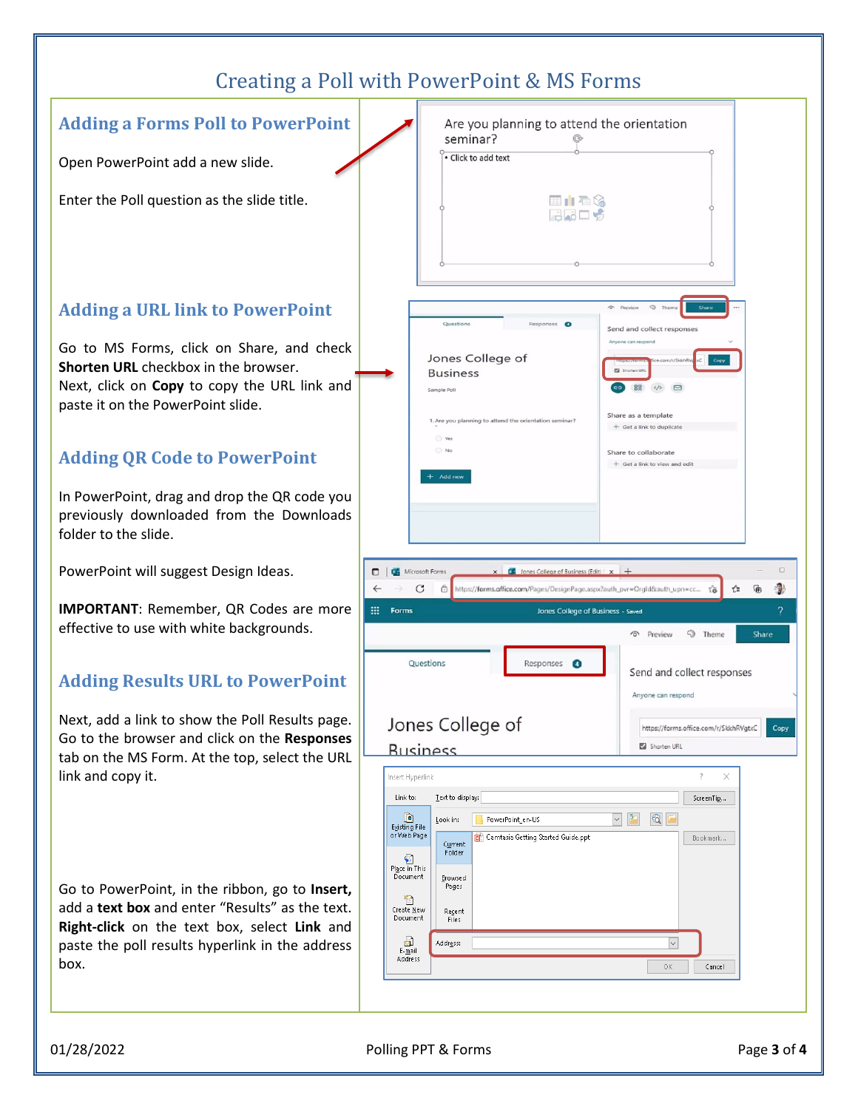